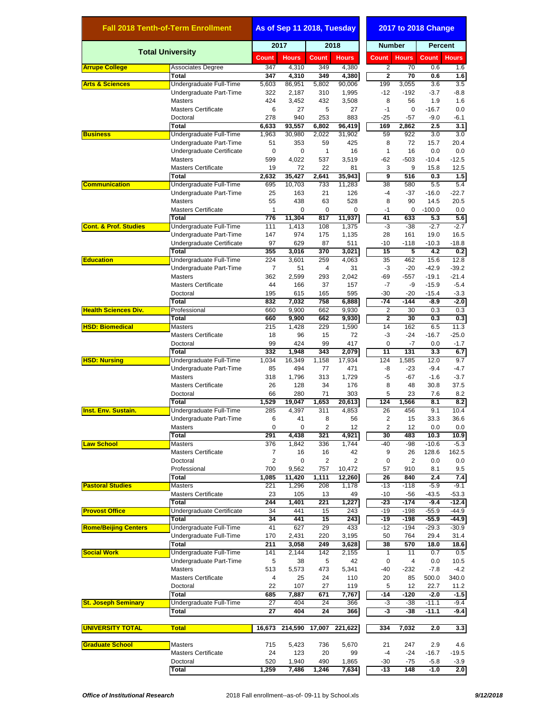| <b>Fall 2018 Tenth-of-Term Enrollment</b> |                                              | As of Sep 11 2018, Tuesday |                |                |                         | 2017 to 2018 Change |                 |                   |                   |  |
|-------------------------------------------|----------------------------------------------|----------------------------|----------------|----------------|-------------------------|---------------------|-----------------|-------------------|-------------------|--|
| <b>Total University</b>                   |                                              | 2017                       |                |                | 2018                    |                     | <b>Number</b>   |                   | <b>Percent</b>    |  |
|                                           |                                              | <b>Count</b>               | <b>Hours</b>   | <b>Count</b>   | <b>Hours</b>            | Count               | <b>Hours</b>    | <b>Count</b>      | <b>Hours</b>      |  |
| <b>Arrupe College</b>                     | <b>Associates Degree</b>                     | 347                        | 4,310          | 349            | 4,380                   | 2                   | 70              | 0.6               | 1.6               |  |
|                                           | Total                                        | 347                        | 4,310          | 349            | 4,380                   | $\overline{2}$      | 70              | 0.6               | 1.6               |  |
| <b>Arts &amp; Sciences</b>                | Undergraduate Full-Time                      | 5,603<br>322               | 86,951         | 5,802          | 90,006                  | 199<br>$-12$        | 3,055<br>$-192$ | 3.6<br>$-3.7$     | 3.5               |  |
|                                           | Undergraduate Part-Time<br><b>Masters</b>    | 424                        | 2,187<br>3,452 | 310<br>432     | 1,995<br>3,508          | 8                   | 56              | 1.9               | $-8.8$<br>1.6     |  |
|                                           | <b>Masters Certificate</b>                   | 6                          | 27             | 5              | 27                      | $-1$                | 0               | $-16.7$           | 0.0               |  |
|                                           | Doctoral                                     | 278                        | 940            | 253            | 883                     | $-25$               | $-57$           | $-9.0$            | $-6.1$            |  |
|                                           | Total                                        | 6,633                      | 93,557         | 6,802          | 96,419                  | 169                 | 2,862           | 2.5               | 3.1               |  |
| <b>Business</b>                           | Undergraduate Full-Time                      | 1.963                      | 30,980         | 2,022          | 31,902                  | 59                  | 922             | 3.0               | 3.0               |  |
|                                           | Undergraduate Part-Time                      | 51                         | 353            | 59             | 425                     | 8                   | 72              | 15.7              | 20.4              |  |
|                                           | Undergraduate Certificate                    | $\mathbf 0$                | 0              | $\mathbf{1}$   | 16                      | $\mathbf{1}$        | 16              | 0.0               | 0.0               |  |
|                                           | <b>Masters</b>                               | 599                        | 4,022          | 537            | 3,519                   | -62                 | $-503$          | $-10.4$           | $-12.5$           |  |
|                                           | <b>Masters Certificate</b>                   | 19                         | 72             | 22             | 81                      | 3                   | 9               | 15.8              | 12.5              |  |
|                                           | <b>Total</b>                                 | 2,632                      | 35,427         | 2,641          | 35,943                  | 9                   | 516             | 0.3               | 1.5               |  |
| <b>Communication</b>                      | Undergraduate Full-Time                      | 695                        | 10,703         | 733            | 11,283                  | 38                  | 580             | 5.5               | 5.4               |  |
|                                           | Undergraduate Part-Time<br><b>Masters</b>    | 25<br>55                   | 163<br>438     | 21<br>63       | 126<br>528              | $-4$<br>8           | $-37$<br>90     | $-16.0$<br>14.5   | $-22.7$<br>20.5   |  |
|                                           | <b>Masters Certificate</b>                   | 1                          | 0              | 0              | 0                       | $-1$                | 0               | $-100.0$          | 0.0               |  |
|                                           | Total                                        | 776                        | 11,304         | 817            | 11.937                  | 41                  | 633             | 5.3               | 5.6               |  |
| <b>Cont. &amp; Prof. Studies</b>          | Undergraduate Full-Time                      | 111                        | 1,413          | 108            | 1,375                   | -3                  | $-38$           | $-2.7$            | $-2.7$            |  |
|                                           | Undergraduate Part-Time                      | 147                        | 974            | 175            | 1,135                   | 28                  | 161             | 19.0              | 16.5              |  |
|                                           | Undergraduate Certificate                    | 97                         | 629            | 87             | 511                     | -10                 | $-118$          | $-10.3$           | $-18.8$           |  |
|                                           | <b>Total</b>                                 | 355                        | 3,016          | 370            | 3,021                   | 15                  | 5               | 4.2               | 0.2               |  |
| <b>Education</b>                          | Undergraduate Full-Time                      | 224                        | 3,601          | 259            | 4,063                   | 35                  | 462             | 15.6              | 12.8              |  |
|                                           | Undergraduate Part-Time                      | $\overline{7}$             | 51             | $\overline{4}$ | 31                      | -3                  | $-20$           | $-42.9$           | $-39.2$           |  |
|                                           | <b>Masters</b>                               | 362                        | 2,599          | 293            | 2,042                   | -69                 | $-557$          | $-19.1$           | $-21.4$           |  |
|                                           | <b>Masters Certificate</b>                   | 44                         | 166            | 37             | 157                     | $-7$                | -9              | $-15.9$           | $-5.4$            |  |
|                                           | Doctoral                                     | 195                        | 615            | 165            | 595                     | $-30$               | $-20$           | $-15.4$           | $-3.3$            |  |
|                                           | <b>Total</b>                                 | 832                        | 7,032          | 758            | 6,888                   | $-74$               | $-144$          | $-8.9$            | $-2.0$            |  |
| <b>Health Sciences Div.</b>               | Professional                                 | 660                        | 9,900          | 662<br>662     | 9,930                   | $\overline{2}$<br>2 | 30<br>30        | 0.3<br>0.3        | 0.3               |  |
| <b>HSD: Biomedical</b>                    | Total<br><b>Masters</b>                      | 660<br>215                 | 9,900<br>1,428 | 229            | 9,930<br>1,590          | 14                  | 162             | 6.5               | 0.3<br>11.3       |  |
|                                           | <b>Masters Certificate</b>                   | 18                         | 96             | 15             | 72                      | -3                  | $-24$           | $-16.7$           | $-25.0$           |  |
|                                           | Doctoral                                     | 99                         | 424            | 99             | 417                     | 0                   | $-7$            | 0.0               | $-1.7$            |  |
|                                           | Total                                        | 332                        | 1,948          | 343            | 2,079                   | $\overline{11}$     | 131             | 3.3               | 6.7               |  |
| <b>HSD: Nursing</b>                       | Undergraduate Full-Time                      | 1,034                      | 16,349         | 1,158          | 17,934                  | 124                 | 1,585           | 12.0              | 9.7               |  |
|                                           | Undergraduate Part-Time                      | 85                         | 494            | 77             | 471                     | -8                  | -23             | $-9.4$            | $-4.7$            |  |
|                                           | <b>Masters</b>                               | 318                        | 1,796          | 313            | 1,729                   | -5                  | $-67$           | $-1.6$            | $-3.7$            |  |
|                                           | <b>Masters Certificate</b>                   | 26                         | 128            | 34             | 176                     | 8                   | 48              | 30.8              | 37.5              |  |
|                                           | Doctoral                                     | 66                         | 280            | 71             | 303                     | 5                   | 23              | 7.6               | 8.2               |  |
|                                           | Total                                        | 1,529                      | 19,047         | 1,653          | 20,613                  | 124                 | 1,566           | 8.1               | 8.2               |  |
| <b>Inst. Env. Sustain.</b>                | Undergraduate Full-Time                      | 285                        | 4,397          | 311            | $\overline{4,853}$      | 26                  | 456             | 9.1               | 10.4              |  |
|                                           | Undergraduate Part-Time                      | 6                          | 41             | 8              | 56                      | $\overline{2}$      | 15              | 33.3              | 36.6              |  |
|                                           | <b>Masters</b><br><b>Total</b>               | 0<br>291                   | 0              | 2<br>321       | 12                      | 2<br>30             | 12<br>483       | 0.0<br>10.3       | 0.0               |  |
| <b>Law School</b>                         | <b>Masters</b>                               | 376                        | 4,438<br>1,842 | 336            | 4,921<br>1,744          | -40                 | $-98$           | $-10.6$           | 10.9<br>$-5.3$    |  |
|                                           | <b>Masters Certificate</b>                   | $\overline{7}$             | 16             | 16             | 42                      | 9                   | 26              | 128.6             | 162.5             |  |
|                                           | Doctoral                                     | $\overline{c}$             | 0              | $\overline{c}$ | $\overline{\mathbf{c}}$ | 0                   | 2               | 0.0               | 0.0               |  |
|                                           | Professional                                 | 700                        | 9,562          | 757            | 10,472                  | 57                  | 910             | 8.1               | 9.5               |  |
|                                           | Total                                        | 1,085                      | 11,420         | 1,111          | 12,260                  | 26                  | 840             | 2.4               | 7.4               |  |
| <b>Pastoral Studies</b>                   | Masters                                      | 221                        | 1,296          | 208            | 1,178                   | -13                 | $-118$          | $-5.9$            | $-9.1$            |  |
|                                           | <b>Masters Certificate</b>                   | 23                         | 105            | 13             | 49                      | $-10$               | -56             | $-43.5$           | $-53.3$           |  |
|                                           | Total                                        | 244                        | 1,401          | 221            | 1,227                   | -23                 | $-174$          | $-9.4$            | $-12.4$           |  |
| <b>Provost Office</b>                     | Undergraduate Certificate                    | 34                         | 441            | 15             | 243                     | $-19$               | $-198$          | $-55.9$           | $-44.9$           |  |
|                                           | Total                                        | 34                         | 441            | 15             | 243                     | -19                 | $-198$          | -55.9             | $-44.9$           |  |
| <b>Rome/Beijing Centers</b>               | Undergraduate Full-Time                      | 41                         | 627            | 29             | 433                     | $-12$               | $-194$          | $-29.3$           | $-30.9$           |  |
|                                           | Undergraduate Full-Time                      | 170                        | 2,431          | 220            | 3,195                   | 50                  | 764             | 29.4              | 31.4              |  |
|                                           | <b>Total</b>                                 | 211                        | 3,058          | 249            | 3,628                   | 38                  | 570             | 18.0              | 18.6              |  |
| <b>Social Work</b>                        | Undergraduate Full-Time                      | 141                        | 2,144          | 142            | 2,155                   | $\mathbf{1}$        | 11              | 0.7               | 0.5               |  |
|                                           | Undergraduate Part-Time                      | 5                          | 38             | 5              | 42                      | $\mathbf 0$<br>-40  | 4               | 0.0<br>$-7.8$     | 10.5<br>$-4.2$    |  |
|                                           | <b>Masters</b><br><b>Masters Certificate</b> | 513<br>4                   | 5,573<br>25    | 473<br>24      | 5,341<br>110            | 20                  | $-232$<br>85    | 500.0             | 340.0             |  |
|                                           | Doctoral                                     | 22                         | 107            | 27             | 119                     | 5                   | 12              | 22.7              | 11.2              |  |
|                                           | <b>Total</b>                                 | 685                        | 7,887          | 671            | 7,767                   | -14                 | $-120$          | $-2.0$            | $-1.5$            |  |
| <b>St. Joseph Seminary</b>                | Undergraduate Full-Time                      | 27                         | 404            | 24             | 366                     | -3                  | $-38$           | $-11.1$           | $-9.4$            |  |
|                                           | Total                                        | 27                         | 404            | 24             | 366                     | -3                  | -38             | $-11.1$           | $-9.4$            |  |
|                                           |                                              |                            |                |                |                         |                     |                 |                   |                   |  |
| <b>UNIVERSITY TOTAL</b>                   | <b>Total</b>                                 | 16,673                     | 214,590        | 17,007         | 221,622                 | 334                 | 7,032           | 2.0               | 3.3               |  |
|                                           |                                              |                            |                |                |                         |                     |                 |                   |                   |  |
| <b>Graduate School</b>                    | <b>Masters</b>                               | 715                        | 5,423          | 736            | 5,670                   | 21                  | 247             | 2.9               | 4.6               |  |
|                                           | <b>Masters Certificate</b><br>Doctoral       | 24<br>520                  | 123<br>1,940   | 20<br>490      | 99<br>1,865             | $-4$<br>-30         | $-24$<br>$-75$  | $-16.7$<br>$-5.8$ | $-19.5$<br>$-3.9$ |  |
|                                           | Total                                        | 1,259                      | 7,486          | 1,246          | 7,634                   | $-13$               | 148             | $-1.0$            | 2.0               |  |
|                                           |                                              |                            |                |                |                         |                     |                 |                   |                   |  |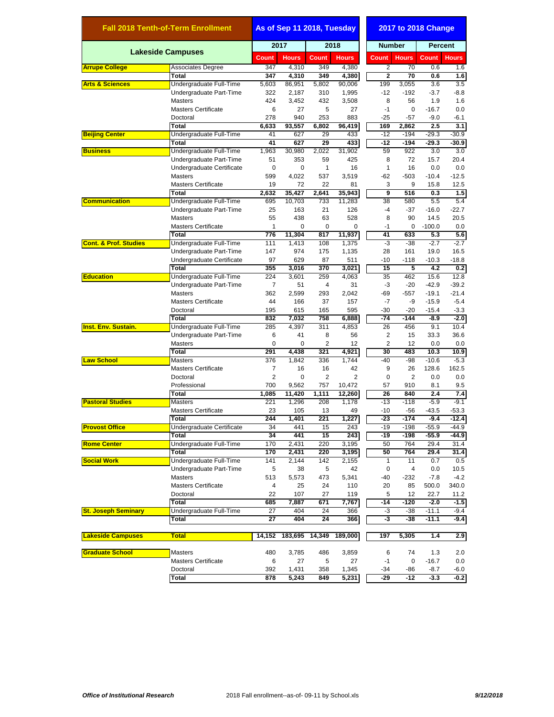| <b>Fall 2018 Tenth-of-Term Enrollment</b> |                                    | As of Sep 11 2018, Tuesday |                |                |                | 2017 to 2018 Change     |                 |                   |                    |  |
|-------------------------------------------|------------------------------------|----------------------------|----------------|----------------|----------------|-------------------------|-----------------|-------------------|--------------------|--|
|                                           |                                    | 2017                       |                | 2018           |                | <b>Number</b>           |                 | <b>Percent</b>    |                    |  |
|                                           | <b>Lakeside Campuses</b>           | Count                      | <b>Hours</b>   | Count          | <b>Hours</b>   | Count                   | <b>Hours</b>    | Count             | <b>Hours</b>       |  |
| <b>Arrupe College</b>                     | Associates Degree                  | 347                        | 4,310          | 349            | 4,380          | $\overline{2}$          | 70              | 0.6               | 1.6                |  |
|                                           | Total                              | 347                        | 4.310          | 349            | 4,380          | $\overline{\mathbf{2}}$ | 70              | 0.6               | 1.6                |  |
| <b>Arts &amp; Sciences</b>                | Undergraduate Full-Time            | 5,603                      | 86,951         | 5,802          | 90,006         | 199                     | 3,055           | 3.6               | 3.5                |  |
|                                           | Undergraduate Part-Time            | 322                        | 2,187          | 310            | 1,995          | $-12$                   | $-192$          | $-3.7$            | $-8.8$             |  |
|                                           | <b>Masters</b>                     | 424                        | 3,452          | 432            | 3,508          | 8                       | 56              | 1.9               | 1.6                |  |
|                                           | <b>Masters Certificate</b>         | 6                          | 27             | 5              | 27             | $-1$                    | 0               | $-16.7$           | 0.0                |  |
|                                           | Doctoral                           | 278                        | 940            | 253            | 883            | $-25$                   | $-57$           | $-9.0$            | $-6.1$             |  |
| <b>Beijing Center</b>                     | Total<br>Undergraduate Full-Time   | 6,633<br>41                | 93,557<br>627  | 6,802<br>29    | 96,419<br>433  | 169<br>$-12$            | 2,862<br>$-194$ | 2.5<br>$-29.3$    | 3.1<br>$-30.9$     |  |
|                                           | Total                              | 41                         | 627            | 29             | 433            | -12                     | $-194$          | -29.3             | -30.9              |  |
| <b>Business</b>                           | Undergraduate Full-Time            | 1,963                      | 30,980         | 2,022          | 31,902         | 59                      | 922             | 3.0               | 3.0                |  |
|                                           | Undergraduate Part-Time            | 51                         | 353            | 59             | 425            | 8                       | 72              | 15.7              | 20.4               |  |
|                                           | Undergraduate Certificate          | 0                          | 0              | $\mathbf{1}$   | 16             | 1                       | 16              | 0.0               | 0.0                |  |
|                                           | <b>Masters</b>                     | 599                        | 4,022          | 537            | 3,519          | $-62$                   | $-503$          | $-10.4$           | $-12.5$            |  |
|                                           | <b>Masters Certificate</b>         | 19                         | 72             | 22             | 81             | 3                       | 9               | 15.8              | 12.5               |  |
|                                           | <b>Total</b>                       | 2,632                      | 35,427         | 2,641          | 35,943         | 9                       | 516             | 0.3               | 1.5                |  |
| <b>Communication</b>                      | Undergraduate Full-Time            | 695                        | 10,703         | 733            | 11,283         | 38                      | 580             | 5.5               | 5.4                |  |
|                                           | Undergraduate Part-Time            | 25                         | 163            | 21             | 126            | $-4$                    | $-37$           | $-16.0$           | $-22.7$            |  |
|                                           | <b>Masters</b>                     | 55                         | 438            | 63             | 528            | 8                       | 90              | 14.5              | 20.5               |  |
|                                           | <b>Masters Certificate</b>         | 1                          | 0              | 0              | 0              | $-1$                    | 0               | $-100.0$          | 0.0                |  |
|                                           | <b>Total</b>                       | 776                        | 11.304         | 817            | 11,937         | 41                      | 633             | 5.3               | 5.6                |  |
| <b>Cont. &amp; Prof. Studies</b>          | Undergraduate Full-Time            | 111                        | 1,413          | 108            | 1,375          | $-3$                    | $-38$           | $-2.7$            | $-2.7$             |  |
|                                           | Undergraduate Part-Time            | 147                        | 974            | 175            | 1,135          | 28                      | 161             | 19.0              | 16.5               |  |
|                                           | Undergraduate Certificate          | 97                         | 629            | 87<br>370      | 511            | $-10$<br>15             | $-118$<br>5     | $-10.3$           | $-18.8$            |  |
| <b>Education</b>                          | Total<br>Undergraduate Full-Time   | 355<br>224                 | 3,016<br>3,601 | 259            | 3,021<br>4,063 | 35                      | 462             | 4.2<br>15.6       | 0.2<br>12.8        |  |
|                                           | Undergraduate Part-Time            | 7                          | 51             | 4              | 31             | -3                      | $-20$           | $-42.9$           | $-39.2$            |  |
|                                           | <b>Masters</b>                     | 362                        | 2,599          | 293            | 2,042          | -69                     | $-557$          | $-19.1$           | $-21.4$            |  |
|                                           | <b>Masters Certificate</b>         | 44                         | 166            | 37             | 157            | $-7$                    | -9              | $-15.9$           | $-5.4$             |  |
|                                           | Doctoral                           | 195                        | 615            | 165            | 595            | $-30$                   | $-20$           | $-15.4$           | $-3.3$             |  |
|                                           | <b>Total</b>                       | 832                        | 7,032          | 758            | 6,888          | $-74$                   | $-144$          | -8.9              | $-2.0$             |  |
| <b>Inst. Env. Sustain.</b>                | Undergraduate Full-Time            | 285                        | 4,397          | 311            | 4,853          | 26                      | 456             | 9.1               | 10.4               |  |
|                                           | Undergraduate Part-Time            | 6                          | 41             | 8              | 56             | 2                       | 15              | 33.3              | 36.6               |  |
|                                           | <b>Masters</b>                     | 0                          | 0              | 2              | 12             | $\overline{2}$          | 12              | 0.0               | 0.0                |  |
|                                           | <b>Total</b>                       | 291                        | 4,438          | 321            | 4,921          | 30                      | 483             | 10.3              | 10.9               |  |
| <b>Law School</b>                         | <b>Masters</b>                     | 376                        | 1,842          | 336            | 1,744          | $-40$                   | $-98$           | $-10.6$           | $-5.3$             |  |
|                                           | <b>Masters Certificate</b>         | 7                          | 16             | 16             | 42             | 9                       | 26              | 128.6             | 162.5              |  |
|                                           | Doctoral                           | $\overline{2}$             | 0              | $\overline{2}$ | $\overline{2}$ | $\mathbf 0$             | $\overline{2}$  | 0.0               | 0.0                |  |
|                                           | Professional                       | 700                        | 9,562          | 757            | 10,472         | 57                      | 910             | 8.1               | 9.5                |  |
|                                           | Total                              | 1,085                      | 11,420         | 1,111          | 12,260         | 26                      | 840             | 2.4               | 7.4                |  |
| <b>Pastoral Studies</b>                   | <b>Masters</b>                     | 221                        | 1,296          | 208            | 1,178          | $-13$                   | $-118$          | $-5.9$            | $-9.1$             |  |
|                                           | <b>Masters Certificate</b>         | 23<br>244                  | 105            | 13<br>221      | 49             | $-10$<br>$-23$          | $-56$<br>$-174$ | $-43.5$<br>$-9.4$ | $-53.3$            |  |
|                                           | <b>Total</b>                       | 34                         | 1,401<br>441   |                | 1,227<br>243   | -19                     | $-198$          |                   | $-12.4$<br>$-44.9$ |  |
| <b>Provost Office</b>                     | Undergraduate Certificate<br>Total | 34                         | 441            | 15<br>15       | 243            | -19                     | $-198$          | $-55.9$<br>-55.9  | -44.9              |  |
| <b>Rome Center</b>                        | Undergraduate Full-Time            | 170                        | 2,431          | 220            | 3,195          | 50                      | 764             | 29.4              | 31.4               |  |
|                                           | Total                              | 170                        | 2,431          | 220            | 3,195          | 50                      | 764             | 29.4              | 31.4               |  |
| <b>Social Work</b>                        | Undergraduate Full-Time            | 141                        | 2,144          | 142            | 2,155          | $\mathbf{1}$            | 11              | 0.7               | 0.5                |  |
|                                           | Undergraduate Part-Time            | 5                          | 38             | 5              | 42             | 0                       | 4               | 0.0               | 10.5               |  |
|                                           | <b>Masters</b>                     | 513                        | 5,573          | 473            | 5,341          | -40                     | $-232$          | $-7.8$            | $-4.2$             |  |
|                                           | <b>Masters Certificate</b>         | 4                          | 25             | 24             | 110            | 20                      | 85              | 500.0             | 340.0              |  |
|                                           | Doctoral                           | 22                         | 107            | 27             | 119            | 5                       | 12              | 22.7              | 11.2               |  |
|                                           | Total                              | 685                        | 7,887          | 671            | 7,767          | -14                     | $-120$          | $-2.0$            | $-1.5$             |  |
| <b>St. Joseph Seminary</b>                | Undergraduate Full-Time            | 27                         | 404            | 24             | 366            | -3                      | $-38$           | $-11.1$           | $-9.4$             |  |
|                                           | Total                              | 27                         | 404            | 24             | 366            | -3                      | -38             | $-11.1$           | $-9.4$             |  |
|                                           |                                    |                            |                |                |                |                         |                 |                   |                    |  |
| <b>Lakeside Campuses</b>                  | Total                              | 14,152                     | 183,695        | 14,349         | 189,000        | 197                     | 5,305           | 1.4               | 2.9                |  |
| <b>Graduate School</b>                    | Masters                            | 480                        | 3,785          | 486            | 3,859          | 6                       | 74              | 1.3               | 2.0                |  |
|                                           | <b>Masters Certificate</b>         | 6                          | 27             | 5              | 27             | $-1$                    | 0               | $-16.7$           | 0.0                |  |
|                                           | Doctoral                           | 392                        | 1,431          | 358            | 1,345          | -34                     | -86             | $-8.7$            | -6.0               |  |
|                                           | Total                              | 878                        | 5,243          | 849            | 5,231          | -29                     | -12             | $-3.3$            | -0.2               |  |